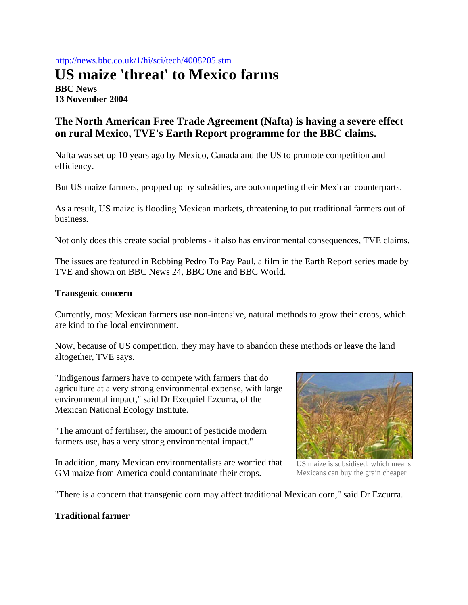## http://news.bbc.co.uk/1/hi/sci/tech/4008205.stm

# **US maize 'threat' to Mexico farms BBC News 13 November 2004**

## **The North American Free Trade Agreement (Nafta) is having a severe effect on rural Mexico, TVE's Earth Report programme for the BBC claims.**

Nafta was set up 10 years ago by Mexico, Canada and the US to promote competition and efficiency.

But US maize farmers, propped up by subsidies, are outcompeting their Mexican counterparts.

As a result, US maize is flooding Mexican markets, threatening to put traditional farmers out of business.

Not only does this create social problems - it also has environmental consequences, TVE claims.

The issues are featured in Robbing Pedro To Pay Paul, a film in the Earth Report series made by TVE and shown on BBC News 24, BBC One and BBC World.

#### **Transgenic concern**

Currently, most Mexican farmers use non-intensive, natural methods to grow their crops, which are kind to the local environment.

Now, because of US competition, they may have to abandon these methods or leave the land altogether, TVE says.

"Indigenous farmers have to compete with farmers that do agriculture at a very strong environmental expense, with large environmental impact," said Dr Exequiel Ezcurra, of the Mexican National Ecology Institute.

"The amount of fertiliser, the amount of pesticide modern farmers use, has a very strong environmental impact."

In addition, many Mexican environmentalists are worried that GM maize from America could contaminate their crops.



US maize is subsidised, which means Mexicans can buy the grain cheaper

"There is a concern that transgenic corn may affect traditional Mexican corn," said Dr Ezcurra.

### **Traditional farmer**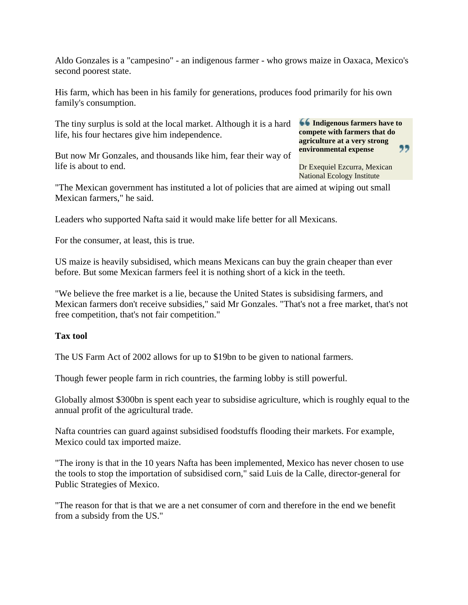Aldo Gonzales is a "campesino" - an indigenous farmer - who grows maize in Oaxaca, Mexico's second poorest state.

His farm, which has been in his family for generations, produces food primarily for his own family's consumption.

The tiny surplus is sold at the local market. Although it is a hard life, his four hectares give him independence.

But now Mr Gonzales, and thousands like him, fear their way of life is about to end.

**Indigenous farmers have to compete with farmers that do agriculture at a very strong**  " **environmental expense** 

Dr Exequiel Ezcurra, Mexican National Ecology Institute

"The Mexican government has instituted a lot of policies that are aimed at wiping out small Mexican farmers," he said.

Leaders who supported Nafta said it would make life better for all Mexicans.

For the consumer, at least, this is true.

US maize is heavily subsidised, which means Mexicans can buy the grain cheaper than ever before. But some Mexican farmers feel it is nothing short of a kick in the teeth.

"We believe the free market is a lie, because the United States is subsidising farmers, and Mexican farmers don't receive subsidies," said Mr Gonzales. "That's not a free market, that's not free competition, that's not fair competition."

### **Tax tool**

The US Farm Act of 2002 allows for up to \$19bn to be given to national farmers.

Though fewer people farm in rich countries, the farming lobby is still powerful.

Globally almost \$300bn is spent each year to subsidise agriculture, which is roughly equal to the annual profit of the agricultural trade.

Nafta countries can guard against subsidised foodstuffs flooding their markets. For example, Mexico could tax imported maize.

"The irony is that in the 10 years Nafta has been implemented, Mexico has never chosen to use the tools to stop the importation of subsidised corn," said Luis de la Calle, director-general for Public Strategies of Mexico.

"The reason for that is that we are a net consumer of corn and therefore in the end we benefit from a subsidy from the US."